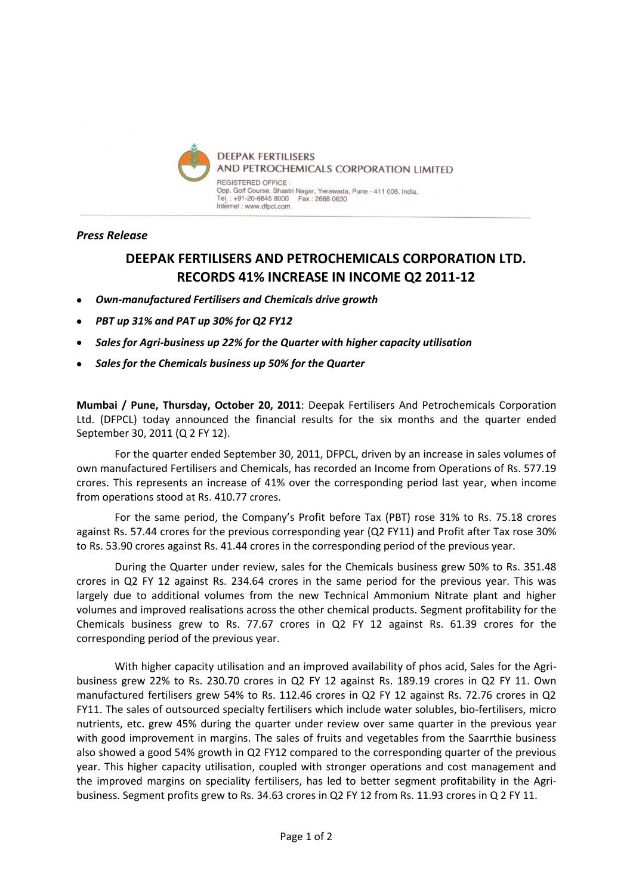

## *Press Release*

# **DEEPAK FERTILISERS AND PETROCHEMICALS CORPORATION LTD. RECORDS 41% INCREASE IN INCOME Q2 2011-12**

- *Own-manufactured Fertilisers and Chemicals drive growth*
- *PBT up 31% and PAT up 30% for Q2 FY12*
- *Sales for Agri-business up 22% for the Quarter with higher capacity utilisation*
- *Sales for the Chemicals business up 50% for the Quarter*

**Mumbai / Pune, Thursday, October 20, 2011**: Deepak Fertilisers And Petrochemicals Corporation Ltd. (DFPCL) today announced the financial results for the six months and the quarter ended September 30, 2011 (Q 2 FY 12).

For the quarter ended September 30, 2011, DFPCL, driven by an increase in sales volumes of own manufactured Fertilisers and Chemicals, has recorded an Income from Operations of Rs. 577.19 crores. This represents an increase of 41% over the corresponding period last year, when income from operations stood at Rs. 410.77 crores.

For the same period, the Company's Profit before Tax (PBT) rose 31% to Rs. 75.18 crores against Rs. 57.44 crores for the previous corresponding year (Q2 FY11) and Profit after Tax rose 30% to Rs. 53.90 crores against Rs. 41.44 crores in the corresponding period of the previous year.

During the Quarter under review, sales for the Chemicals business grew 50% to Rs. 351.48 crores in Q2 FY 12 against Rs. 234.64 crores in the same period for the previous year. This was largely due to additional volumes from the new Technical Ammonium Nitrate plant and higher volumes and improved realisations across the other chemical products. Segment profitability for the Chemicals business grew to Rs. 77.67 crores in Q2 FY 12 against Rs. 61.39 crores for the corresponding period of the previous year.

With higher capacity utilisation and an improved availability of phos acid, Sales for the Agribusiness grew 22% to Rs. 230.70 crores in Q2 FY 12 against Rs. 189.19 crores in Q2 FY 11. Own manufactured fertilisers grew 54% to Rs. 112.46 crores in Q2 FY 12 against Rs. 72.76 crores in Q2 FY11. The sales of outsourced specialty fertilisers which include water solubles, bio-fertilisers, micro nutrients, etc. grew 45% during the quarter under review over same quarter in the previous year with good improvement in margins. The sales of fruits and vegetables from the Saarrthie business also showed a good 54% growth in Q2 FY12 compared to the corresponding quarter of the previous year. This higher capacity utilisation, coupled with stronger operations and cost management and the improved margins on speciality fertilisers, has led to better segment profitability in the Agribusiness. Segment profits grew to Rs. 34.63 crores in Q2 FY 12 from Rs. 11.93 crores in Q 2 FY 11.